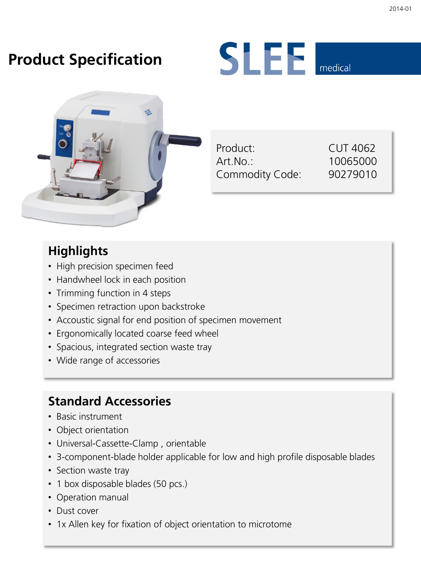## **Product Specification**





| Product:        |  |
|-----------------|--|
| Art.No.:        |  |
| Commodity Code: |  |

CUT 4062 10065000 Commodity Code: 90279010

#### **Highlights**

- High precision specimen feed
- Handwheel lock in each position
- Trimming function in 4 steps
- Specimen retraction upon backstroke
- Accoustic signal for end position of specimen movement
- Ergonomically located coarse feed wheel
- Spacious, integrated section waste tray
- Wide range of accessories

### **Standard Accessories**

- Basic instrument
- Object orientation
- Universal-Cassette-Clamp , orientable
- 3-component-blade holder applicable for low and high profile disposable blades
- Section waste tray
- 1 box disposable blades (50 pcs.)
- Operation manual
- Dust cover
- 1x Allen key for fixation of object orientation to microtome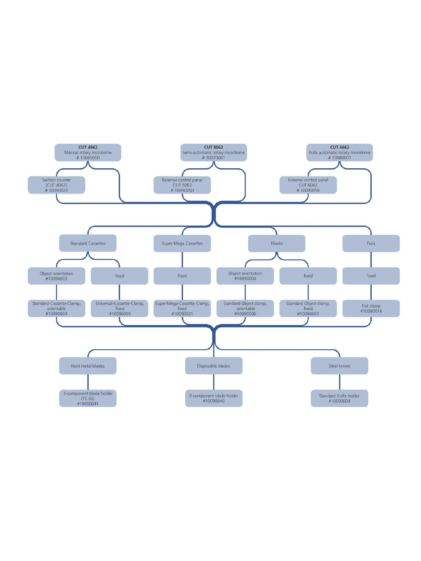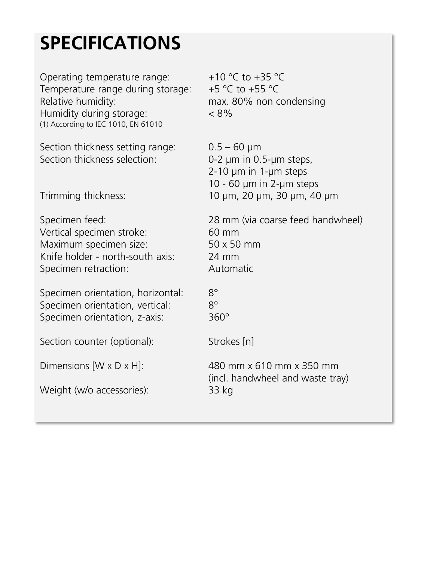# **SPECIFICATIONS**

Operating temperature range:  $+10 \degree C$  to  $+35 \degree C$ Temperature range during storage:  $+5$  °C to  $+55$  °C Relative humidity: max. 80% non condensing Humidity during storage: < 8% (1) According to IEC 1010, EN 61010

Section thickness setting range:  $0.5 - 60 \mu m$ <br>Section thickness selection:  $0.2 \mu m$  in 0

Vertical specimen stroke: 60 mm Maximum specimen size: 50 x 50 mm Knife holder - north-south axis: 24 mm Specimen retraction: Automatic

Specimen orientation, horizontal: 8° Specimen orientation, vertical: 8° Specimen orientation, z-axis: 360°

Section counter (optional): Strokes [n]

Weight (w/o accessories): 33 kg

O-2 μm in 0.5-μm steps, 2-10 μm in 1-μm steps 10 - 60 μm in 2-μm steps Trimming thickness: 10 μm, 20 μm, 30 μm, 40 μm

Specimen feed: 28 mm (via coarse feed handwheel)

Dimensions [W x D x H]: 480 mm x 610 mm x 350 mm (incl. handwheel and waste tray)